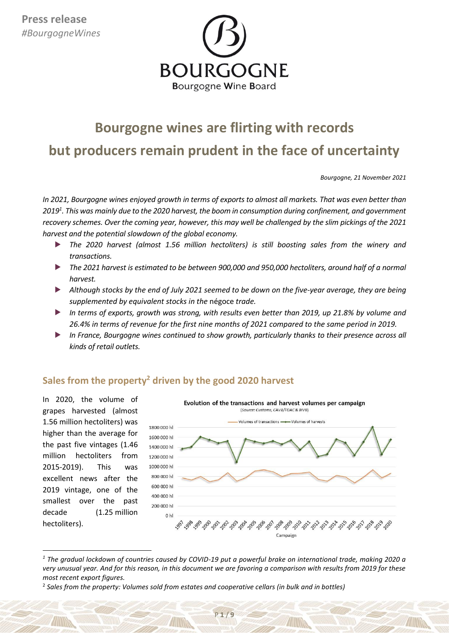

# **Bourgogne wines are flirting with records**

**but producers remain prudent in the face of uncertainty**

*Bourgogne, 21 November 2021*

*In 2021, Bourgogne wines enjoyed growth in terms of exports to almost all markets. That was even better than 2019<sup>1</sup> . This was mainly due to the 2020 harvest, the boom in consumption during confinement, and government recovery schemes. Over the coming year, however, this may well be challenged by the slim pickings of the 2021 harvest and the potential slowdown of the global economy.*

- *The 2020 harvest (almost 1.56 million hectoliters) is still boosting sales from the winery and transactions.*
- *The 2021 harvest is estimated to be between 900,000 and 950,000 hectoliters, around half of a normal harvest.*
- *Although stocks by the end of July 2021 seemed to be down on the five-year average, they are being supplemented by equivalent stocks in the* négoce *trade.*
- *In terms of exports, growth was strong, with results even better than 2019, up 21.8% by volume and 26.4% in terms of revenue for the first nine months of 2021 compared to the same period in 2019.*
- *In France, Bourgogne wines continued to show growth, particularly thanks to their presence across all kinds of retail outlets.*

# **Sales from the property<sup>2</sup> driven by the good 2020 harvest**

In 2020, the volume of grapes harvested (almost 1.56 million hectoliters) was higher than the average for the past five vintages (1.46 million hectoliters from 2015-2019). This was excellent news after the 2019 vintage, one of the smallest over the past decade (1.25 million hectoliters).

**.** 



*<sup>1</sup> The gradual lockdown of countries caused by COVID-19 put a powerful brake on international trade, making 2020 a very unusual year. And for this reason, in this document we are favoring a comparison with results from 2019 for these most recent export figures.*

<sup>2</sup> *Sales from the property: Volumes sold from estates and cooperative cellars (in bulk and in bottles)*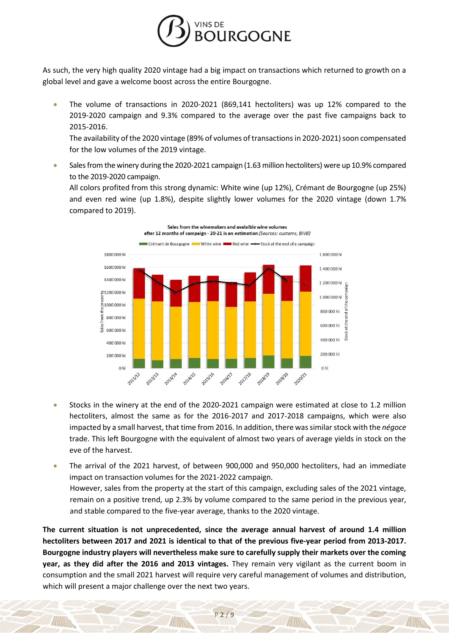

As such, the very high quality 2020 vintage had a big impact on transactions which returned to growth on a global level and gave a welcome boost across the entire Bourgogne.

• The volume of transactions in 2020-2021 (869,141 hectoliters) was up 12% compared to the 2019-2020 campaign and 9.3% compared to the average over the past five campaigns back to 2015-2016.

The availability of the 2020 vintage (89% of volumes of transactions in 2020-2021) soon compensated for the low volumes of the 2019 vintage.

• Sales from the winery during the 2020-2021 campaign (1.63 million hectoliters) were up 10.9% compared to the 2019-2020 campaign.

All colors profited from this strong dynamic: White wine (up 12%), Crémant de Bourgogne (up 25%) and even red wine (up 1.8%), despite slightly lower volumes for the 2020 vintage (down 1.7% compared to 2019).



- Stocks in the winery at the end of the 2020-2021 campaign were estimated at close to 1.2 million hectoliters, almost the same as for the 2016-2017 and 2017-2018 campaigns, which were also impacted by a small harvest, that time from 2016. In addition, there was similar stock with the *négoce* trade. This left Bourgogne with the equivalent of almost two years of average yields in stock on the eve of the harvest.
- The arrival of the 2021 harvest, of between 900,000 and 950,000 hectoliters, had an immediate impact on transaction volumes for the 2021-2022 campaign. However, sales from the property at the start of this campaign, excluding sales of the 2021 vintage, remain on a positive trend, up 2.3% by volume compared to the same period in the previous year, and stable compared to the five-year average, thanks to the 2020 vintage.

**The current situation is not unprecedented, since the average annual harvest of around 1.4 million hectoliters between 2017 and 2021 is identical to that of the previous five-year period from 2013-2017. Bourgogne industry players will nevertheless make sure to carefully supply their markets over the coming year, as they did after the 2016 and 2013 vintages.** They remain very vigilant as the current boom in consumption and the small 2021 harvest will require very careful management of volumes and distribution, which will present a major challenge over the next two years.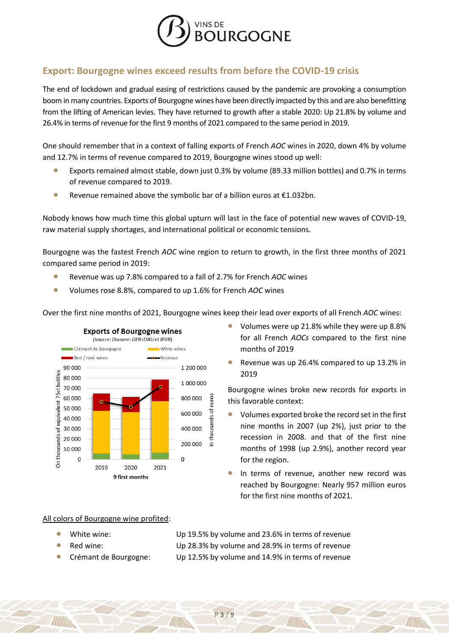

## **Export: Bourgogne wines exceed results from before the COVID-19 crisis**

The end of lockdown and gradual easing of restrictions caused by the pandemic are provoking a consumption boom in many countries. Exports of Bourgogne wines have been directly impacted by this and are also benefitting from the lifting of American levies. They have returned to growth after a stable 2020: Up 21.8% by volume and 26.4% in terms of revenue for the first 9 months of 2021 compared to the same period in 2019.

One should remember that in a context of falling exports of French *AOC* wines in 2020, down 4% by volume and 12.7% in terms of revenue compared to 2019, Bourgogne wines stood up well:

- Exports remained almost stable, down just 0.3% by volume (89.33 million bottles) and 0.7% in terms of revenue compared to 2019.
- Revenue remained above the symbolic bar of a billion euros at  $£1.032$ bn.

Nobody knows how much time this global upturn will last in the face of potential new waves of COVID-19, raw material supply shortages, and international political or economic tensions.

Bourgogne was the fastest French *AOC* wine region to return to growth, in the first three months of 2021 compared same period in 2019:

- Revenue was up 7.8% compared to a fall of 2.7% for French *AOC* wines
- Volumes rose 8.8%, compared to up 1.6% for French *AOC* wines





- Volumes were up 21.8% while they were up 8.8% for all French *AOCs* compared to the first nine months of 2019
- Revenue was up 26.4% compared to up 13.2% in 2019

Bourgogne wines broke new records for exports in this favorable context:

- Volumes exported broke the record set in the first nine months in 2007 (up 2%), just prior to the recession in 2008. and that of the first nine months of 1998 (up 2.9%), another record year for the region.
- In terms of revenue, another new record was reached by Bourgogne: Nearly 957 million euros for the first nine months of 2021.

### All colors of Bourgogne wine profited:

- 
- 
- 

• White wine: Up 19.5% by volume and 23.6% in terms of revenue Red wine: Up 28.3% by volume and 28.9% in terms of revenue • Crémant de Bourgogne: Up 12.5% by volume and 14.9% in terms of revenue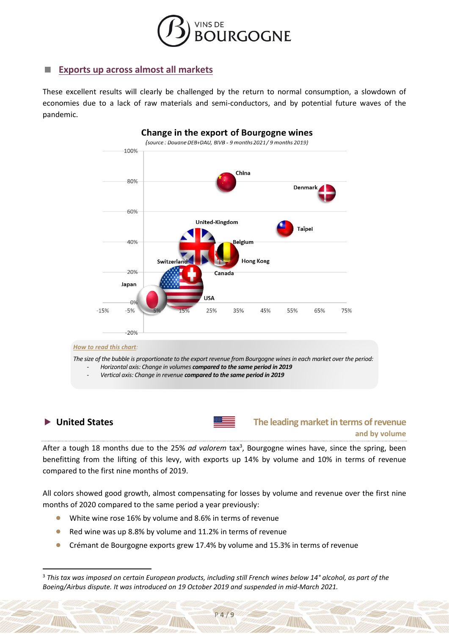

### **Exports up across almost all markets**

These excellent results will clearly be challenged by the return to normal consumption, a slowdown of economies due to a lack of raw materials and semi-conductors, and by potential future waves of the pandemic.



 $\overline{a}$ 

### **▶ United States The leading market in terms of revenue and by volume**

After a tough 18 months due to the 25% ad valorem tax<sup>3</sup>, Bourgogne wines have, since the spring, been benefitting from the lifting of this levy, with exports up 14% by volume and 10% in terms of revenue compared to the first nine months of 2019.

All colors showed good growth, almost compensating for losses by volume and revenue over the first nine months of 2020 compared to the same period a year previously:

- White wine rose 16% by volume and 8.6% in terms of revenue
- Red wine was up 8.8% by volume and 11.2% in terms of revenue
- Crémant de Bourgogne exports grew 17.4% by volume and 15.3% in terms of revenue

<sup>3</sup> *This tax was imposed on certain European products, including still French wines below 14° alcohol, as part of the Boeing/Airbus dispute. It was introduced on 19 October 2019 and suspended in mid-March 2021.*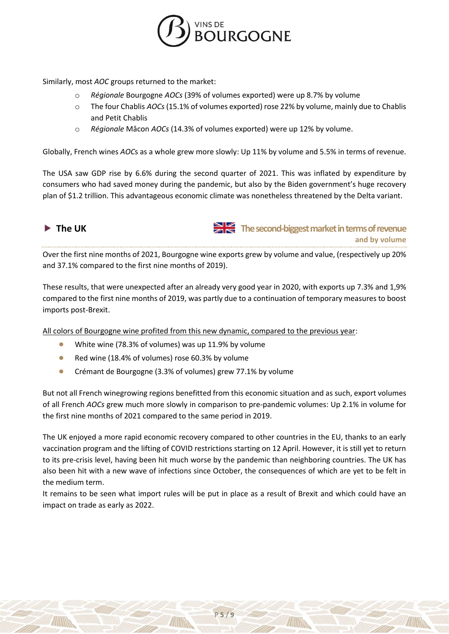

Similarly, most *AOC* groups returned to the market:

- o *Régionale* Bourgogne *AOCs* (39% of volumes exported) were up 8.7% by volume
- o The four Chablis *AOCs* (15.1% of volumes exported) rose 22% by volume, mainly due to Chablis and Petit Chablis
- o *Régionale* Mâcon *AOCs* (14.3% of volumes exported) were up 12% by volume.

Globally, French wines *AOC*s as a whole grew more slowly: Up 11% by volume and 5.5% in terms of revenue.

The USA saw GDP rise by 6.6% during the second quarter of 2021. This was inflated by expenditure by consumers who had saved money during the pandemic, but also by the Biden government's huge recovery plan of \$1.2 trillion. This advantageous economic climate was nonetheless threatened by the Delta variant.



 **The UK The second-biggest market in terms of revenue and by volume**

Over the first nine months of 2021, Bourgogne wine exports grew by volume and value, (respectively up 20% and 37.1% compared to the first nine months of 2019).

These results, that were unexpected after an already very good year in 2020, with exports up 7.3% and 1,9% compared to the first nine months of 2019, was partly due to a continuation of temporary measures to boost imports post-Brexit.

All colors of Bourgogne wine profited from this new dynamic, compared to the previous year:

- White wine (78.3% of volumes) was up 11.9% by volume
- Red wine (18.4% of volumes) rose 60.3% by volume
- Crémant de Bourgogne (3.3% of volumes) grew 77.1% by volume

But not all French winegrowing regions benefitted from this economic situation and as such, export volumes of all French *AOCs* grew much more slowly in comparison to pre-pandemic volumes: Up 2.1% in volume for the first nine months of 2021 compared to the same period in 2019.

The UK enjoyed a more rapid economic recovery compared to other countries in the EU, thanks to an early vaccination program and the lifting of COVID restrictions starting on 12 April. However, it is still yet to return to its pre-crisis level, having been hit much worse by the pandemic than neighboring countries. The UK has also been hit with a new wave of infections since October, the consequences of which are yet to be felt in the medium term.

It remains to be seen what import rules will be put in place as a result of Brexit and which could have an impact on trade as early as 2022.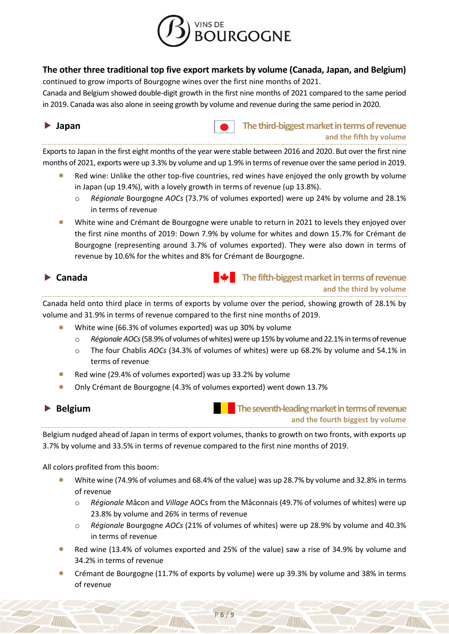

### **The other three traditional top five export markets by volume (Canada, Japan, and Belgium)**

continued to grow imports of Bourgogne wines over the first nine months of 2021.

Canada and Belgium showed double-digit growth in the first nine months of 2021 compared to the same period in 2019. Canada was also alone in seeing growth by volume and revenue during the same period in 2020.

**I Japan The third-biggest market in terms of revenue and the fifth by volume**

Exports to Japan in the first eight months of the year were stable between 2016 and 2020. But over the first nine months of 2021, exports were up 3.3% by volume and up 1.9% in terms of revenue over the same period in 2019.

- Red wine: Unlike the other top-five countries, red wines have enjoyed the only growth by volume in Japan (up 19.4%), with a lovely growth in terms of revenue (up 13.8%).
	- o *Régionale* Bourgogne *AOCs* (73.7% of volumes exported) were up 24% by volume and 28.1% in terms of revenue
- White wine and Crémant de Bourgogne were unable to return in 2021 to levels they enjoyed over the first nine months of 2019: Down 7.9% by volume for whites and down 15.7% for Crémant de Bourgogne (representing around 3.7% of volumes exported). They were also down in terms of revenue by 10.6% for the whites and 8% for Crémant de Bourgogne.



**Canada The fifth-biggest market in terms of revenue and the third by volume**

Canada held onto third place in terms of exports by volume over the period, showing growth of 28.1% by volume and 31.9% in terms of revenue compared to the first nine months of 2019.

- White wine (66.3% of volumes exported) was up 30% by volume
	- o *Régionale AOCs*(58.9% of volumes ofwhites)were up 15% by volume and 22.1% in terms of revenue
	- o The four Chablis *AOCs* (34.3% of volumes of whites) were up 68.2% by volume and 54.1% in terms of revenue
- Red wine (29.4% of volumes exported) was up 33.2% by volume
- Only Crémant de Bourgogne (4.3% of volumes exported) went down 13.7%

 **Belgium The seventh-leading market in terms of revenue and the fourth biggest by volume**

Belgium nudged ahead of Japan in terms of export volumes, thanks to growth on two fronts, with exports up 3.7% by volume and 33.5% in terms of revenue compared to the first nine months of 2019.

All colors profited from this boom:

- White wine (74.9% of volumes and 68.4% of the value) was up 28.7% by volume and 32.8% in terms of revenue
	- o *Régionale* Mâcon and *Village* AOCs from the Mâconnais (49.7% of volumes of whites) were up 23.8% by volume and 26% in terms of revenue
	- o *Régionale* Bourgogne *AOCs* (21% of volumes of whites) were up 28.9% by volume and 40.3% in terms of revenue
- Red wine (13.4% of volumes exported and 25% of the value) saw a rise of 34.9% by volume and 34.2% in terms of revenue
- Crémant de Bourgogne (11.7% of exports by volume) were up 39.3% by volume and 38% in terms of revenue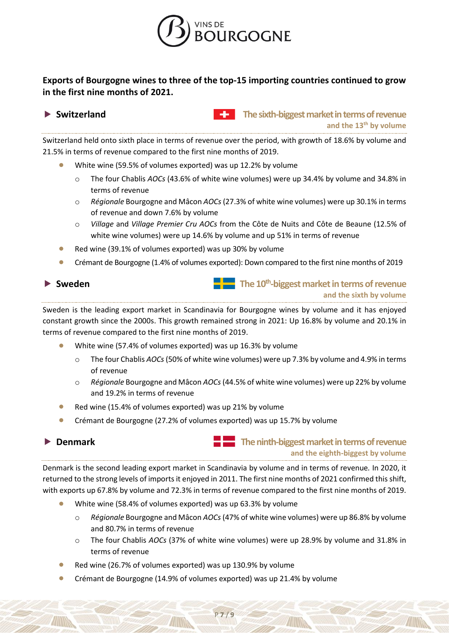

## **Exports of Bourgogne wines to three of the top-15 importing countries continued to grow in the first nine months of 2021.**

 **Switzerland The sixth-biggest market in terms of revenue and the 13 th by volume**

Switzerland held onto sixth place in terms of revenue over the period, with growth of 18.6% by volume and 21.5% in terms of revenue compared to the first nine months of 2019.

- White wine (59.5% of volumes exported) was up 12.2% by volume
	- o The four Chablis *AOCs* (43.6% of white wine volumes) were up 34.4% by volume and 34.8% in terms of revenue
	- o *Régionale* Bourgogne and Mâcon *AOCs* (27.3% of white wine volumes) were up 30.1% in terms of revenue and down 7.6% by volume
	- o *Village* and *Village Premier Cru AOCs* from the Côte de Nuits and Côte de Beaune (12.5% of white wine volumes) were up 14.6% by volume and up 51% in terms of revenue
- Red wine (39.1% of volumes exported) was up 30% by volume
- Crémant de Bourgogne (1.4% of volumes exported): Down compared to the first nine months of 2019

▶ Sweden **The 10<sup>th</sup>-biggest market in terms of revenue and the sixth by volume**

Sweden is the leading export market in Scandinavia for Bourgogne wines by volume and it has enjoyed constant growth since the 2000s. This growth remained strong in 2021: Up 16.8% by volume and 20.1% in terms of revenue compared to the first nine months of 2019.

- White wine (57.4% of volumes exported) was up 16.3% by volume
	- o The four Chablis *AOCs*(50% of white wine volumes) were up 7.3% by volume and 4.9% in terms of revenue
	- o *Régionale* Bourgogne and Mâcon *AOCs* (44.5% of white wine volumes) were up 22% by volume and 19.2% in terms of revenue
- Red wine (15.4% of volumes exported) was up 21% by volume
- Crémant de Bourgogne (27.2% of volumes exported) was up 15.7% by volume

**Denmark The ninth-biggest market in terms of revenue and the eighth-biggest by volume**

Denmark is the second leading export market in Scandinavia by volume and in terms of revenue*.* In 2020, it returned to the strong levels of imports it enjoyed in 2011. The first nine months of 2021 confirmed this shift, with exports up 67.8% by volume and 72.3% in terms of revenue compared to the first nine months of 2019.

P **7** / **9**

- White wine (58.4% of volumes exported) was up 63.3% by volume
	- o *Régionale* Bourgogne and Mâcon *AOCs* (47% of white wine volumes) were up 86.8% by volume and 80.7% in terms of revenue
	- o The four Chablis *AOCs* (37% of white wine volumes) were up 28.9% by volume and 31.8% in terms of revenue
- Red wine (26.7% of volumes exported) was up 130.9% by volume
- Crémant de Bourgogne (14.9% of volumes exported) was up 21.4% by volume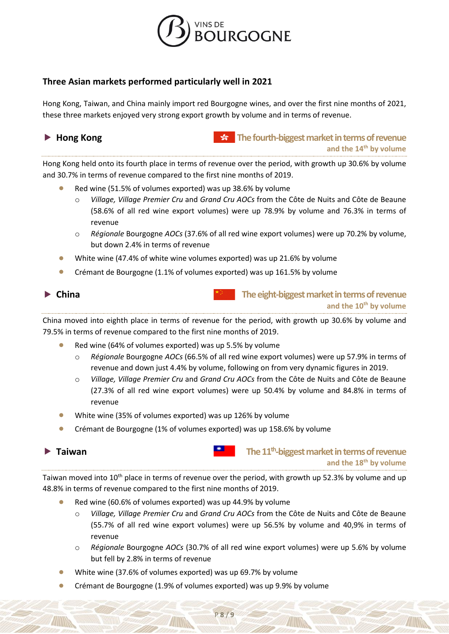

### **Three Asian markets performed particularly well in 2021**

Hong Kong, Taiwan, and China mainly import red Bourgogne wines, and over the first nine months of 2021, these three markets enjoyed very strong export growth by volume and in terms of revenue.

| $\blacktriangleright$ | <b>Hong Kong</b> |  |
|-----------------------|------------------|--|
|-----------------------|------------------|--|

**Homagest market in terms of revenue and the 14 th by volume**

Hong Kong held onto its fourth place in terms of revenue over the period, with growth up 30.6% by volume and 30.7% in terms of revenue compared to the first nine months of 2019.

- Red wine (51.5% of volumes exported) was up 38.6% by volume
	- o *Village, Village Premier Cru* and *Grand Cru AOCs* from the Côte de Nuits and Côte de Beaune (58.6% of all red wine export volumes) were up 78.9% by volume and 76.3% in terms of revenue
	- o *Régionale* Bourgogne *AOCs* (37.6% of all red wine export volumes) were up 70.2% by volume, but down 2.4% in terms of revenue
- White wine (47.4% of white wine volumes exported) was up 21.6% by volume
- Crémant de Bourgogne (1.1% of volumes exported) was up 161.5% by volume



 **China The eight-biggest market in terms of revenue and the 10th by volume**

China moved into eighth place in terms of revenue for the period, with growth up 30.6% by volume and 79.5% in terms of revenue compared to the first nine months of 2019.

- Red wine (64% of volumes exported) was up 5.5% by volume
	- o *Régionale* Bourgogne *AOCs* (66.5% of all red wine export volumes) were up 57.9% in terms of revenue and down just 4.4% by volume, following on from very dynamic figures in 2019.
	- o *Village, Village Premier Cru* and *Grand Cru AOCs* from the Côte de Nuits and Côte de Beaune (27.3% of all red wine export volumes) were up 50.4% by volume and 84.8% in terms of revenue
- White wine (35% of volumes exported) was up 126% by volume
- Crémant de Bourgogne (1% of volumes exported) was up 158.6% by volume



▶ Taiwan **Taiwan The 11<sup>th</sup>-biggest market in terms of revenue and the 18th by volume**

Taiwan moved into 10<sup>th</sup> place in terms of revenue over the period, with growth up 52.3% by volume and up 48.8% in terms of revenue compared to the first nine months of 2019.

- Red wine (60.6% of volumes exported) was up 44.9% by volume
	- o *Village, Village Premier Cru* and *Grand Cru AOCs* from the Côte de Nuits and Côte de Beaune (55.7% of all red wine export volumes) were up 56.5% by volume and 40,9% in terms of revenue
	- o *Régionale* Bourgogne *AOCs* (30.7% of all red wine export volumes) were up 5.6% by volume but fell by 2.8% in terms of revenue
- White wine (37.6% of volumes exported) was up 69.7% by volume
- Crémant de Bourgogne (1.9% of volumes exported) was up 9.9% by volume